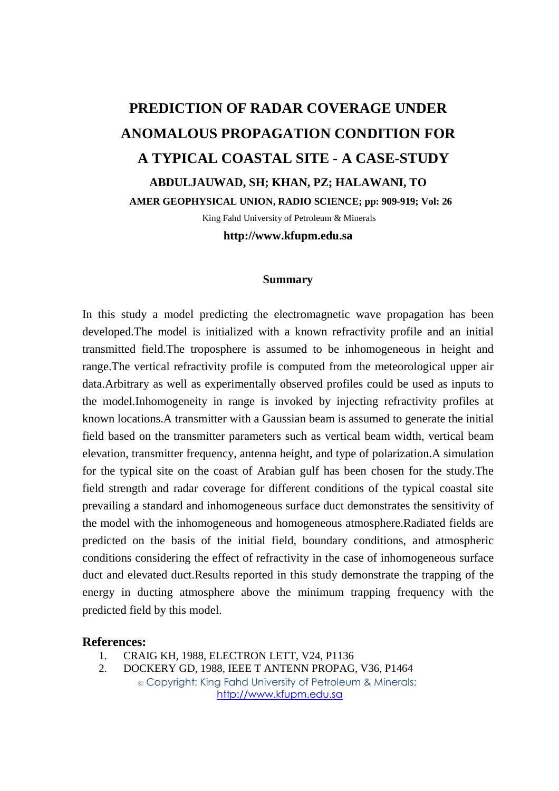## **PREDICTION OF RADAR COVERAGE UNDER ANOMALOUS PROPAGATION CONDITION FOR A TYPICAL COASTAL SITE - A CASE-STUDY ABDULJAUWAD, SH; KHAN, PZ; HALAWANI, TO AMER GEOPHYSICAL UNION, RADIO SCIENCE; pp: 909-919; Vol: 26**

King Fahd University of Petroleum & Minerals

**http://www.kfupm.edu.sa** 

## **Summary**

In this study a model predicting the electromagnetic wave propagation has been developed.The model is initialized with a known refractivity profile and an initial transmitted field.The troposphere is assumed to be inhomogeneous in height and range.The vertical refractivity profile is computed from the meteorological upper air data.Arbitrary as well as experimentally observed profiles could be used as inputs to the model.Inhomogeneity in range is invoked by injecting refractivity profiles at known locations.A transmitter with a Gaussian beam is assumed to generate the initial field based on the transmitter parameters such as vertical beam width, vertical beam elevation, transmitter frequency, antenna height, and type of polarization.A simulation for the typical site on the coast of Arabian gulf has been chosen for the study.The field strength and radar coverage for different conditions of the typical coastal site prevailing a standard and inhomogeneous surface duct demonstrates the sensitivity of the model with the inhomogeneous and homogeneous atmosphere.Radiated fields are predicted on the basis of the initial field, boundary conditions, and atmospheric conditions considering the effect of refractivity in the case of inhomogeneous surface duct and elevated duct.Results reported in this study demonstrate the trapping of the energy in ducting atmosphere above the minimum trapping frequency with the predicted field by this model.

## **References:**

- 1. CRAIG KH, 1988, ELECTRON LETT, V24, P1136
- © Copyright: King Fahd University of Petroleum & Minerals; http://www.kfupm.edu.sa 2. DOCKERY GD, 1988, IEEE T ANTENN PROPAG, V36, P1464